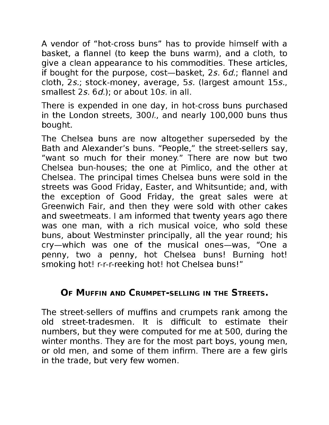A vendor of "hot-cross buns" has to provide himself with a basket, a flannel (to keep the buns warm), and a cloth, to give a clean appearance to his commodities. These articles, if bought for the purpose, cost-basket, 2s. 6d.; flannel and cloth, 2s.; stock-money, average, 5s. (largest amount 15s., smallest 2s, 6d.): or about 10s, in all.

There is expended in one day, in hot-cross buns purchased in the London streets, 300/., and nearly 100,000 buns thus bought.

The Chelsea buns are now altogether superseded by the Bath and Alexander's buns. "People," the street-sellers say, "want so much for their money." There are now but two Chelsea bun-houses; the one at Pimlico, and the other at Chelsea. The principal times Chelsea buns were sold in the streets was Good Friday, Easter, and Whitsuntide; and, with the exception of Good Friday, the great sales were at Greenwich Fair, and then they were sold with other cakes and sweetmeats. I am informed that twenty years ago there was one man, with a rich musical voice, who sold these buns, about Westminster principally, all the year round; his cry-which was one of the musical ones-was, "One a penny, two a penny, hot Chelsea buns! Burning hot! smoking hot! r-r-r-reeking hot! hot Chelsea buns!"

### OF MUFFIN AND CRUMPET-SELLING IN THE STREETS.

The street-sellers of muffins and crumpets rank among the old street-tradesmen. It is difficult to estimate their numbers, but they were computed for me at 500, during the winter months. They are for the most part boys, young men, or old men, and some of them infirm. There are a few girls in the trade, but very few women.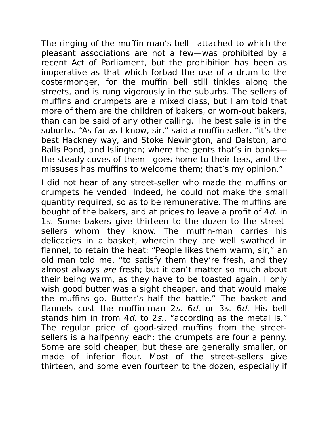The ringing of the muffin-man's bell—attached to which the pleasant associations are not a few—was prohibited by a recent Act of Parliament, but the prohibition has been as inoperative as that which forbad the use of a drum to the costermonger, for the muffin bell still tinkles along the streets, and is rung vigorously in the suburbs. The sellers of muffins and crumpets are a mixed class, but I am told that more of them are the children of bakers, or worn-out bakers, than can be said of any other calling. The best sale is in the suburbs. "As far as I know, sir," said a muffin-seller, "it's the best Hackney way, and Stoke Newington, and Dalston, and Balls Pond, and Islington; where the gents that's in banks the steady coves of them—goes home to their teas, and the missuses has muffins to welcome them; that's my opinion."

I did not hear of any street-seller who made the muffins or crumpets he vended. Indeed, he could not make the small quantity required, so as to be remunerative. The muffins are bought of the bakers, and at prices to leave a profit of 4d. in 1s. Some bakers give thirteen to the dozen to the streetsellers whom they know. The muffin-man carries his delicacies in a basket, wherein they are well swathed in flannel, to retain the heat: "People likes them warm, sir," an old man told me, "to satisfy them they're fresh, and they almost always *are* fresh; but it can't matter so much about their being warm, as they have to be toasted again. I only wish good butter was a sight cheaper, and that would make the muffins go. Butter's half the battle." The basket and flannels cost the muffin-man 2s. 6d. or 3s. 6d. His bell stands him in from 4d. to 2s., "according as the metal is." The regular price of good-sized muffins from the streetsellers is a halfpenny each; the crumpets are four a penny. Some are sold cheaper, but these are generally smaller, or made of inferior flour. Most of the street-sellers give thirteen, and some even fourteen to the dozen, especially if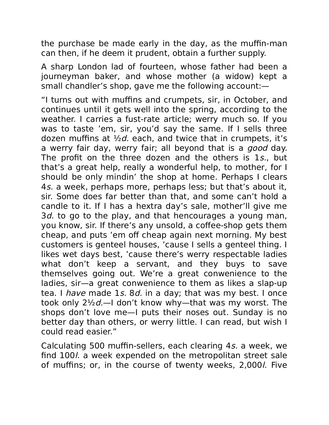the purchase be made early in the day, as the muffin-man can then, if he deem it prudent, obtain a further supply.

A sharp London lad of fourteen, whose father had been a journeyman baker, and whose mother (a widow) kept a small chandler's shop, gave me the following account:—

"I turns out with muffins and crumpets, sir, in October, and continues until it gets well into the spring, according to the weather. I carries a fust-rate article; werry much so. If you was to taste 'em, sir, you'd say the same. If I sells three dozen muffins at  $\frac{1}{2}d$ , each, and twice that in crumpets, it's a werry fair day, werry fair; all beyond that is a good day. The profit on the three dozen and the others is 1s., but that's a great help, really a wonderful help, to mother, for I should be only mindin' the shop at home. Perhaps I clears 4s. a week, perhaps more, perhaps less; but that's about it, sir. Some does far better than that, and some can't hold a candle to it. If I has a hextra day's sale, mother'll give me 3d, to go to the play, and that hencourages a young man, you know, sir. If there's any unsold, a coffee-shop gets them cheap, and puts 'em off cheap again next morning. My best customers is genteel houses, 'cause I sells a genteel thing. I likes wet days best, 'cause there's werry respectable ladies what don't keep a servant, and they buys to save themselves going out. We're a great conwenience to the ladies, sir—a great conwenience to them as likes a slap-up tea. I have made 1s. 8d. in a day; that was my best. I once took only  $2\frac{1}{2}d$ —I don't know why—that was my worst. The shops don't love me—I puts their noses out. Sunday is no better day than others, or werry little. I can read, but wish I could read easier."

Calculating 500 muffin-sellers, each clearing 4s. a week, we find 100l. a week expended on the metropolitan street sale of muffins; or, in the course of twenty weeks, 2,000l. Five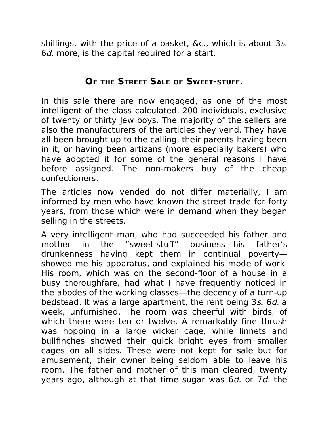shillings, with the price of a basket, &c., which is about 3s. 6*d.* more, is the capital required for a start.

### **OF THE STREET SALE OF SWEET-STUFF.**

In this sale there are now engaged, as one of the most intelligent of the class calculated, 200 individuals, exclusive of twenty or thirty Jew boys. The majority of the sellers are also the manufacturers of the articles they vend. They have all been brought up to the calling, their parents having been in it, or having been artizans (more especially bakers) who have adopted it for some of the general reasons I have before assigned. The non-makers buy of the cheap confectioners.

The articles now vended do not differ materially, I am informed by men who have known the street trade for forty years, from those which were in demand when they began selling in the streets.

A very intelligent man, who had succeeded his father and mother in the "sweet-stuff" business—his father's drunkenness having kept them in continual poverty showed me his apparatus, and explained his mode of work. His room, which was on the second-floor of a house in a busy thoroughfare, had what I have frequently noticed in the abodes of the working classes—the decency of a turn-up bedstead. It was a large apartment, the rent being 3s. 6d. a week, unfurnished. The room was cheerful with birds, of which there were ten or twelve. A remarkably fine thrush was hopping in a large wicker cage, while linnets and bullfinches showed their quick bright eyes from smaller cages on all sides. These were not kept for sale but for amusement, their owner being seldom able to leave his room. The father and mother of this man cleared, twenty years ago, although at that time sugar was  $6d$ . or  $7d$ . the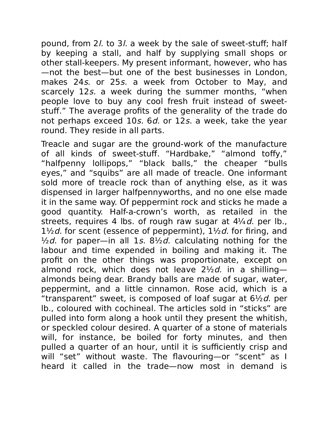pound, from 2l. to 3l. a week by the sale of sweet-stuff; half by keeping a stall, and half by supplying small shops or other stall-keepers. My present informant, however, who has —not the best—but one of the best businesses in London, makes 24s. or 25s. a week from October to May, and scarcely 12s. a week during the summer months, "when people love to buy any cool fresh fruit instead of sweetstuff." The average profits of the generality of the trade do not perhaps exceed 10s. 6d. or 12s. a week, take the year round. They reside in all parts.

Treacle and sugar are the ground-work of the manufacture of all kinds of sweet-stuff. "Hardbake," "almond toffy," "halfpenny lollipops," "black balls," the cheaper "bulls eyes," and "squibs" are all made of treacle. One informant sold more of treacle rock than of anything else, as it was dispensed in larger halfpennyworths, and no one else made it in the same way. Of peppermint rock and sticks he made a good quantity. Half-a-crown's worth, as retailed in the streets, requires 4 lbs. of rough raw sugar at  $4\frac{1}{4}d$ , per lb.,  $1\frac{1}{2}d$  for scent (essence of peppermint),  $1\frac{1}{2}d$  for firing, and  $\frac{1}{2}d$ . for paper—in all 1s. 8 $\frac{1}{2}d$ . calculating nothing for the labour and time expended in boiling and making it. The profit on the other things was proportionate, except on almond rock, which does not leave  $2\frac{1}{2}d$ . in a shillingalmonds being dear. Brandy balls are made of sugar, water, peppermint, and a little cinnamon. Rose acid, which is a "transparent" sweet, is composed of loaf sugar at  $6\frac{1}{2}d$ , per lb., coloured with cochineal. The articles sold in "sticks" are pulled into form along a hook until they present the whitish, or speckled colour desired. A quarter of a stone of materials will, for instance, be boiled for forty minutes, and then pulled a quarter of an hour, until it is sufficiently crisp and will "set" without waste. The flavouring—or "scent" as I heard it called in the trade—now most in demand is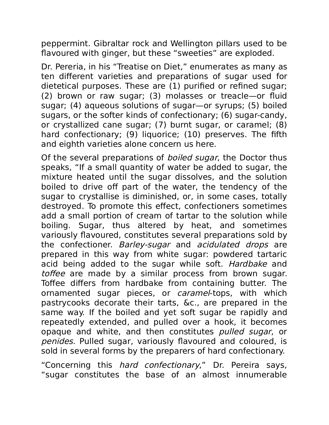peppermint. Gibraltar rock and Wellington pillars used to be flavoured with ginger, but these "sweeties" are exploded.

Dr. Pereria, in his "Treatise on Diet," enumerates as many as ten different varieties and preparations of sugar used for dietetical purposes. These are (1) purified or refined sugar; (2) brown or raw sugar; (3) molasses or treacle—or fluid sugar; (4) aqueous solutions of sugar—or syrups; (5) boiled sugars, or the softer kinds of confectionary; (6) sugar-candy, or crystallized cane sugar; (7) burnt sugar, or caramel; (8) hard confectionary; (9) liquorice; (10) preserves. The fifth and eighth varieties alone concern us here.

Of the several preparations of *boiled sugar*, the Doctor thus speaks, "If a small quantity of water be added to sugar, the mixture heated until the sugar dissolves, and the solution boiled to drive off part of the water, the tendency of the sugar to crystallise is diminished, or, in some cases, totally destroyed. To promote this effect, confectioners sometimes add a small portion of cream of tartar to the solution while boiling. Sugar, thus altered by heat, and sometimes variously flavoured, constitutes several preparations sold by the confectioner. Barley-sugar and acidulated drops are prepared in this way from white sugar: powdered tartaric acid being added to the sugar while soft. Hardbake and toffee are made by a similar process from brown sugar. Toffee differs from hardbake from containing butter. The ornamented sugar pieces, or *caramel*-tops, with which pastrycooks decorate their tarts, &c., are prepared in the same way. If the boiled and yet soft sugar be rapidly and repeatedly extended, and pulled over a hook, it becomes opaque and white, and then constitutes pulled sugar, or penides. Pulled sugar, variously flavoured and coloured, is sold in several forms by the preparers of hard confectionary.

"Concerning this hard confectionary," Dr. Pereira says, "sugar constitutes the base of an almost innumerable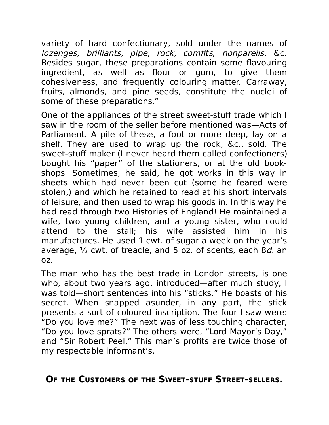variety of hard confectionary, sold under the names of lozenges, brilliants, pipe, rock, comfits, nonpareils, &c. Besides sugar, these preparations contain some flavouring ingredient, as well as flour or gum, to give them cohesiveness, and frequently colouring matter. Carraway, fruits, almonds, and pine seeds, constitute the nuclei of some of these preparations."

One of the appliances of the street sweet-stuff trade which I saw in the room of the seller before mentioned was—Acts of Parliament. A pile of these, a foot or more deep, lay on a shelf. They are used to wrap up the rock, &c., sold. The sweet-stuff maker (I never heard them called confectioners) bought his "paper" of the stationers, or at the old bookshops. Sometimes, he said, he got works in this way in sheets which had never been cut (some he feared were stolen,) and which he retained to read at his short intervals of leisure, and then used to wrap his goods in. In this way he had read through two Histories of England! He maintained a wife, two young children, and a young sister, who could attend to the stall; his wife assisted him in his manufactures. He used 1 cwt. of sugar a week on the year's average,  $\frac{1}{2}$  cwt. of treacle, and 5 oz. of scents, each 8*d.* an oz.

The man who has the best trade in London streets, is one who, about two years ago, introduced—after much study, I was told—short sentences into his "sticks." He boasts of his secret. When snapped asunder, in any part, the stick presents a sort of coloured inscription. The four I saw were: "Do you love me?" The next was of less touching character, "Do you love sprats?" The others were, "Lord Mayor's Day," and "Sir Robert Peel." This man's profits are twice those of my respectable informant's.

### **OF THE CUSTOMERS OF THE SWEET-STUFF STREET-SELLERS.**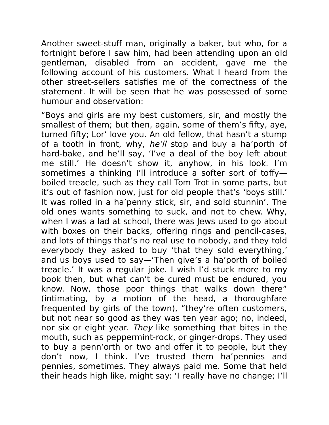Another sweet-stuff man, originally a baker, but who, for a fortnight before I saw him, had been attending upon an old gentleman, disabled from an accident, gave me the following account of his customers. What I heard from the other street-sellers satisfies me of the correctness of the statement. It will be seen that he was possessed of some humour and observation:

"Boys and girls are my best customers, sir, and mostly the smallest of them; but then, again, some of them's fifty, aye, turned fifty; Lor' love you. An old fellow, that hasn't a stump of a tooth in front, why, he'll stop and buy a ha'porth of hard-bake, and he'll say, 'I've a deal of the boy left about me still.' He doesn't show it, anyhow, in his look. I'm sometimes a thinking I'll introduce a softer sort of toffy boiled treacle, such as they call Tom Trot in some parts, but it's out of fashion now, just for old people that's 'boys still.' It was rolled in a ha'penny stick, sir, and sold stunnin'. The old ones wants something to suck, and not to chew. Why, when I was a lad at school, there was Jews used to go about with boxes on their backs, offering rings and pencil-cases, and lots of things that's no real use to nobody, and they told everybody they asked to buy 'that they sold everything,' and us boys used to say—'Then give's a ha'porth of boiled treacle.' It was a regular joke. I wish I'd stuck more to my book then, but what can't be cured must be endured, you know. Now, those poor things that walks down there" (intimating, by a motion of the head, a thoroughfare frequented by girls of the town), "they're often customers, but not near so good as they was ten year ago; no, indeed, nor six or eight year. They like something that bites in the mouth, such as peppermint-rock, or ginger-drops. They used to buy a penn'orth or two and offer it to people, but they don't now, I think. I've trusted them ha'pennies and pennies, sometimes. They always paid me. Some that held their heads high like, might say: 'I really have no change; I'll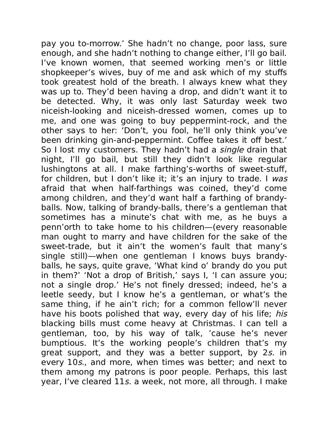pay you to-morrow.' She hadn't no change, poor lass, sure enough, and she hadn't nothing to change either, I'll go bail. I've known women, that seemed working men's or little shopkeeper's wives, buy of me and ask which of my stuffs took greatest hold of the breath. I always knew what they was up to. They'd been having a drop, and didn't want it to be detected. Why, it was only last Saturday week two niceish-looking and niceish-dressed women, comes up to me, and one was going to buy peppermint-rock, and the other says to her: 'Don't, you fool, he'll only think you've been drinking gin-and-peppermint. Coffee takes it off best.' So I lost my customers. They hadn't had a single drain that night, I'll go bail, but still they didn't look like regular lushingtons at all. I make farthing's-worths of sweet-stuff, for children, but I don't like it; it's an injury to trade. I was afraid that when half-farthings was coined, they'd come among children, and they'd want half a farthing of brandyballs. Now, talking of brandy-balls, there's a gentleman that sometimes has a minute's chat with me, as he buys a penn'orth to take home to his children—(every reasonable man ought to marry and have children for the sake of the sweet-trade, but it ain't the women's fault that many's single still)—when one gentleman I knows buys brandyballs, he says, quite grave, 'What kind o' brandy do you put in them?' 'Not a drop of British,' says I, 'I can assure you; not a single drop.' He's not finely dressed; indeed, he's a leetle seedy, but I know he's a gentleman, or what's the same thing, if he ain't rich; for a common fellow'll never have his boots polished that way, every day of his life; his blacking bills must come heavy at Christmas. I can tell a gentleman, too, by his way of talk, 'cause he's never bumptious. It's the working people's children that's my great support, and they was a better support, by 2s. in every 10s., and more, when times was better; and next to them among my patrons is poor people. Perhaps, this last year, I've cleared 11s. a week, not more, all through. I make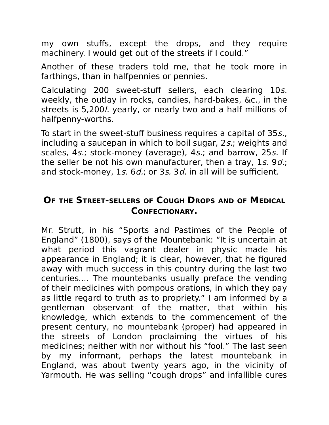my own stuffs, except the drops, and they require machinery. I would get out of the streets if I could."

Another of these traders told me, that he took more in farthings, than in halfpennies or pennies.

Calculating 200 sweet-stuff sellers, each clearing 10s. weekly, the outlay in rocks, candies, hard-bakes, &c., in the streets is 5,200l. yearly, or nearly two and a half millions of halfpenny-worths.

To start in the sweet-stuff business requires a capital of 35s., including a saucepan in which to boil sugar, 2s.; weights and scales, 4s.; stock-money (average), 4s.; and barrow, 25s. If the seller be not his own manufacturer, then a tray, 1s, 9d.; and stock-money, 1s. 6d.; or 3s. 3d. in all will be sufficient.

### **OF THE STREET-SELLERS OF COUGH DROPS AND OF MEDICAL CONFECTIONARY.**

Mr. Strutt, in his "Sports and Pastimes of the People of England" (1800), says of the Mountebank: "It is uncertain at what period this vagrant dealer in physic made his appearance in England; it is clear, however, that he figured away with much success in this country during the last two centuries.... The mountebanks usually preface the vending of their medicines with pompous orations, in which they pay as little regard to truth as to propriety." I am informed by a gentleman observant of the matter, that within his knowledge, which extends to the commencement of the present century, no mountebank (proper) had appeared in the streets of London proclaiming the virtues of his medicines; neither with nor without his "fool." The last seen by my informant, perhaps the latest mountebank in England, was about twenty years ago, in the vicinity of Yarmouth. He was selling "cough drops" and infallible cures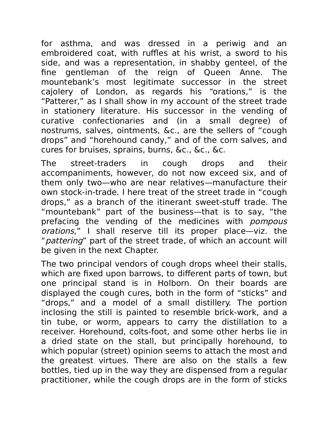for asthma, and was dressed in a periwig and an embroidered coat, with ruffles at his wrist, a sword to his side, and was a representation, in shabby genteel, of the fine gentleman of the reign of Queen Anne. The mountebank's most legitimate successor in the street cajolery of London, as regards his "orations," is the "Patterer," as I shall show in my account of the street trade in stationery literature. His successor in the vending of curative confectionaries and (in a small degree) of nostrums, salves, ointments, &c., are the sellers of "cough drops" and "horehound candy," and of the corn salves, and cures for bruises, sprains, burns, &c., &c., &c.

The street-traders in cough drops and their accompaniments, however, do not now exceed six, and of them only two—who are near relatives—manufacture their own stock-in-trade. I here treat of the street trade in "cough drops," as a branch of the itinerant sweet-stuff trade. The "mountebank" part of the business—that is to say, "the prefacing the vending of the medicines with pompous orations," I shall reserve till its proper place—viz. the "*pattering*" part of the street trade, of which an account will be given in the next Chapter.

The two principal vendors of cough drops wheel their stalls, which are fixed upon barrows, to different parts of town, but one principal stand is in Holborn. On their boards are displayed the cough cures, both in the form of "sticks" and "drops," and a model of a small distillery. The portion inclosing the still is painted to resemble brick-work, and a tin tube, or worm, appears to carry the distillation to a receiver. Horehound, colts-foot, and some other herbs lie in a dried state on the stall, but principally horehound, to which popular (street) opinion seems to attach the most and the greatest virtues. There are also on the stalls a few bottles, tied up in the way they are dispensed from a regular practitioner, while the cough drops are in the form of sticks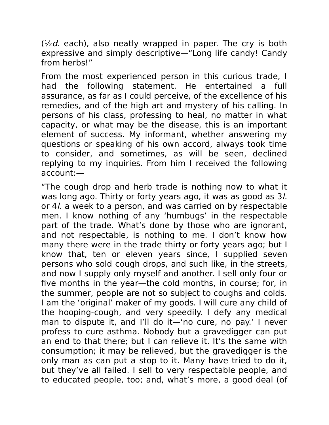$(\frac{1}{2}d.$  each), also neatly wrapped in paper. The cry is both expressive and simply descriptive—"Long life candy! Candy from herbs!"

From the most experienced person in this curious trade, I had the following statement. He entertained a full assurance, as far as I could perceive, of the excellence of his remedies, and of the high art and mystery of his calling. In persons of his class, professing to heal, no matter in what capacity, or what may be the disease, this is an important element of success. My informant, whether answering my questions or speaking of his own accord, always took time to consider, and sometimes, as will be seen, declined replying to my inquiries. From him I received the following account:—

"The cough drop and herb trade is nothing now to what it was long ago. Thirty or forty years ago, it was as good as 3l. or 4l. a week to a person, and was carried on by respectable men. I know nothing of any 'humbugs' in the respectable part of the trade. What's done by those who are ignorant, and not respectable, is nothing to me. I don't know how many there were in the trade thirty or forty years ago; but I know that, ten or eleven years since, I supplied seven persons who sold cough drops, and such like, in the streets, and now I supply only myself and another. I sell only four or five months in the year—the cold months, in course; for, in the summer, people are not so subject to coughs and colds. I am the 'original' maker of my goods. I will cure any child of the hooping-cough, and very speedily. I defy any medical man to dispute it, and I'll do it—'no cure, no pay.' I never profess to cure asthma. Nobody but a gravedigger can put an end to that there; but I can relieve it. It's the same with consumption; it may be relieved, but the gravedigger is the only man as can put a stop to it. Many have tried to do it, but they've all failed. I sell to very respectable people, and to educated people, too; and, what's more, a good deal (of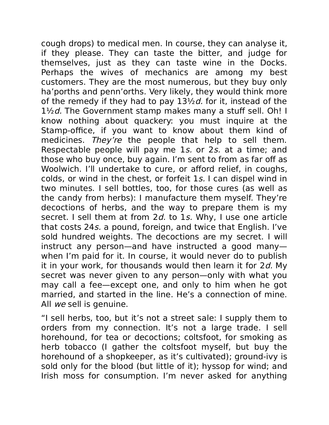cough drops) to medical men. In course, they can analyse it, if they please. They can taste the bitter, and judge for themselves, just as they can taste wine in the Docks. Perhaps the wives of mechanics are among my best customers. They are the most numerous, but they buy only ha'porths and penn'orths. Very likely, they would think more of the remedy if they had to pay  $13\frac{1}{2}d$ . for it, instead of the  $1\frac{1}{2}d$ . The Government stamp makes many a stuff sell. Oh! I know nothing about quackery: you must inquire at the Stamp-office, if you want to know about them kind of medicines. They're the people that help to sell them. Respectable people will pay me 1s. or 2s. at a time; and those who buy once, buy again. I'm sent to from as far off as Woolwich. I'll undertake to cure, or afford relief, in coughs, colds, or wind in the chest, or forfeit 1s. I can dispel wind in two minutes. I sell bottles, too, for those cures (as well as the candy from herbs): I manufacture them myself. They're decoctions of herbs, and the way to prepare them is my secret. I sell them at from 2d. to 1s. Why, I use one article that costs 24s. a pound, foreign, and twice that English. I've sold hundred weights. The decoctions are my secret. I will instruct any person—and have instructed a good many when I'm paid for it. In course, it would never do to publish it in your work, for thousands would then learn it for  $2d$ . My secret was never given to any person—only with what you may call a fee—except one, and only to him when he got married, and started in the line. He's a connection of mine. All we sell is genuine.

"I sell herbs, too, but it's not a street sale: I supply them to orders from my connection. It's not a large trade. I sell horehound, for tea or decoctions; coltsfoot, for smoking as herb tobacco (I gather the coltsfoot myself, but buy the horehound of a shopkeeper, as it's cultivated); ground-ivy is sold only for the blood (but little of it); hyssop for wind; and Irish moss for consumption. I'm never asked for anything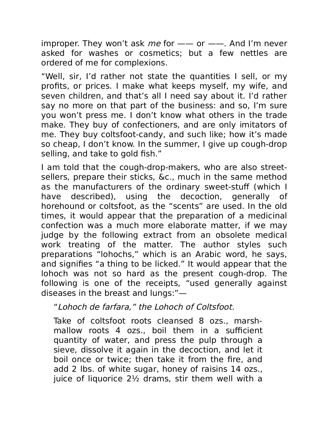improper. They won't ask me for  $-\!$  or  $-\!$ . And I'm never asked for washes or cosmetics; but a few nettles are ordered of me for complexions.

"Well, sir, I'd rather not state the quantities I sell, or my profits, or prices. I make what keeps myself, my wife, and seven children, and that's all I need say about it. I'd rather say no more on that part of the business: and so, I'm sure you won't press me. I don't know what others in the trade make. They buy of confectioners, and are only imitators of me. They buy coltsfoot-candy, and such like; how it's made so cheap, I don't know. In the summer, I give up cough-drop selling, and take to gold fish."

I am told that the cough-drop-makers, who are also streetsellers, prepare their sticks, &c., much in the same method as the manufacturers of the ordinary sweet-stuff (which I have described), using the decoction, generally of horehound or coltsfoot, as the "scents" are used. In the old times, it would appear that the preparation of a medicinal confection was a much more elaborate matter, if we may judge by the following extract from an obsolete medical work treating of the matter. The author styles such preparations "lohochs," which is an Arabic word, he says, and signifies "a thing to be licked." It would appear that the lohoch was not so hard as the present cough-drop. The following is one of the receipts, "used generally against diseases in the breast and lungs:"—

"Lohoch de farfara," the Lohoch of Coltsfoot.

Take of coltsfoot roots cleansed 8 ozs., marshmallow roots 4 ozs., boil them in a sufficient quantity of water, and press the pulp through a sieve, dissolve it again in the decoction, and let it boil once or twice; then take it from the fire, and add 2 lbs. of white sugar, honey of raisins 14 ozs., juice of liquorice 2½ drams, stir them well with a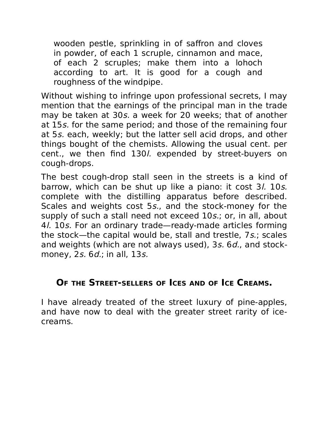wooden pestle, sprinkling in of saffron and cloves in powder, of each 1 scruple, cinnamon and mace, of each 2 scruples; make them into a lohoch according to art. It is good for a cough and roughness of the windpipe.

Without wishing to infringe upon professional secrets, I may mention that the earnings of the principal man in the trade may be taken at 30s. a week for 20 weeks; that of another at 15s. for the same period; and those of the remaining four at 5s. each, weekly; but the latter sell acid drops, and other things bought of the chemists. Allowing the usual cent. per cent., we then find 130l. expended by street-buyers on cough-drops.

The best cough-drop stall seen in the streets is a kind of barrow, which can be shut up like a piano: it cost 3*l.* 10*s.* complete with the distilling apparatus before described. Scales and weights cost 5s., and the stock-money for the supply of such a stall need not exceed 10s.; or, in all, about 4l. 10s. For an ordinary trade—ready-made articles forming the stock—the capital would be, stall and trestle, 7s.; scales and weights (which are not always used), 3s. 6d., and stockmoney, 2s. 6d.; in all, 13s.

#### **OF THE STREET-SELLERS OF ICES AND OF ICE CREAMS.**

I have already treated of the street luxury of pine-apples, and have now to deal with the greater street rarity of icecreams.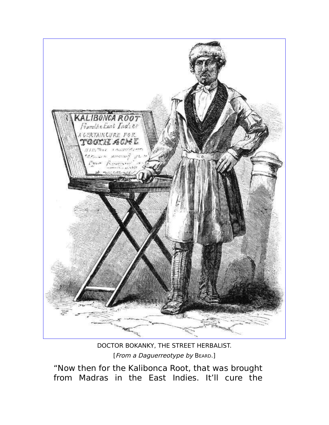

DOCTOR BOKANKY, THE STREET HERBALIST. [From a Daguerreotype by BEARD.]

"Now then for the Kalibonca Root, that was brought from Madras in the East Indies. It'll cure the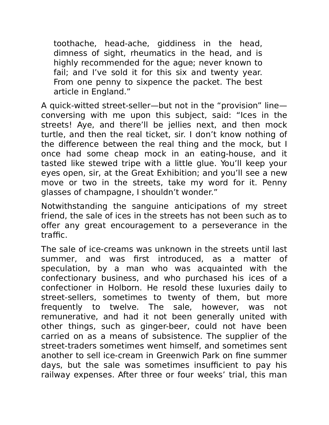toothache, head-ache, giddiness in the head, dimness of sight, rheumatics in the head, and is highly recommended for the ague; never known to fail; and I've sold it for this six and twenty year. From one penny to sixpence the packet. The best article in England."

A quick-witted street-seller—but not in the "provision" line conversing with me upon this subject, said: "Ices in the streets! Aye, and there'll be jellies next, and then mock turtle, and then the real ticket, sir. I don't know nothing of the difference between the real thing and the mock, but I once had some cheap mock in an eating-house, and it tasted like stewed tripe with a little glue. You'll keep your eyes open, sir, at the Great Exhibition; and you'll see a new move or two in the streets, take my word for it. Penny glasses of champagne, I shouldn't wonder."

Notwithstanding the sanguine anticipations of my street friend, the sale of ices in the streets has not been such as to offer any great encouragement to a perseverance in the traffic.

The sale of ice-creams was unknown in the streets until last summer, and was first introduced, as a matter of speculation, by a man who was acquainted with the confectionary business, and who purchased his ices of a confectioner in Holborn. He resold these luxuries daily to street-sellers, sometimes to twenty of them, but more frequently to twelve. The sale, however, was not remunerative, and had it not been generally united with other things, such as ginger-beer, could not have been carried on as a means of subsistence. The supplier of the street-traders sometimes went himself, and sometimes sent another to sell ice-cream in Greenwich Park on fine summer days, but the sale was sometimes insufficient to pay his railway expenses. After three or four weeks' trial, this man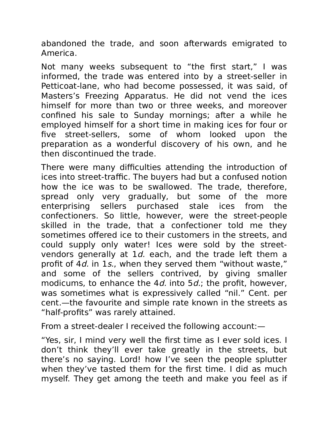abandoned the trade, and soon afterwards emigrated to America.

Not many weeks subsequent to "the first start," I was informed, the trade was entered into by a street-seller in Petticoat-lane, who had become possessed, it was said, of Masters's Freezing Apparatus. He did not vend the ices himself for more than two or three weeks, and moreover confined his sale to Sunday mornings; after a while he employed himself for a short time in making ices for four or five street-sellers, some of whom looked upon the preparation as a wonderful discovery of his own, and he then discontinued the trade.

There were many difficulties attending the introduction of ices into street-traffic. The buyers had but a confused notion how the ice was to be swallowed. The trade, therefore, spread only very gradually, but some of the more enterprising sellers purchased stale ices from the confectioners. So little, however, were the street-people skilled in the trade, that a confectioner told me they sometimes offered ice to their customers in the streets, and could supply only water! Ices were sold by the streetvendors generally at  $1d$ . each, and the trade left them a profit of 4d. in 1s., when they served them "without waste," and some of the sellers contrived, by giving smaller modicums, to enhance the 4d. into  $5d$ ; the profit, however, was sometimes what is expressively called "nil." Cent. per cent.—the favourite and simple rate known in the streets as "half-profits" was rarely attained.

From a street-dealer I received the following account:—

"Yes, sir, I mind very well the first time as I ever sold ices. I don't think they'll ever take greatly in the streets, but there's no saying. Lord! how I've seen the people splutter when they've tasted them for the first time. I did as much myself. They get among the teeth and make you feel as if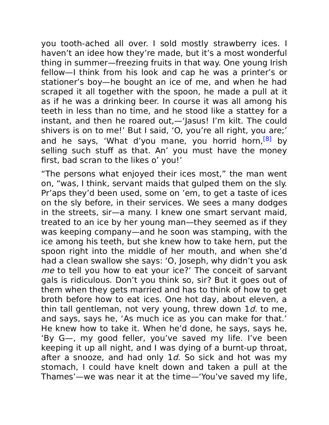you tooth-ached all over. I sold mostly strawberry ices. I haven't an idee how they're made, but it's a most wonderful thing in summer—freezing fruits in that way. One young Irish fellow—I think from his look and cap he was a printer's or stationer's boy—he bought an ice of me, and when he had scraped it all together with the spoon, he made a pull at it as if he was a drinking beer. In course it was all among his teeth in less than no time, and he stood like a stattey for a instant, and then he roared out,—'Jasus! I'm kilt. The could shivers is on to me!' But I said, 'O, you're all right, you are;' and he says, 'What d'you mane, you horrid horn,<sup>[8]</sup> by selling such stuff as that. An' you must have the money first, bad scran to the likes o' you!'

"The persons what enjoyed their ices most," the man went on, "was, I think, servant maids that gulped them on the sly. Pr'aps they'd been used, some on 'em, to get a taste of ices on the sly before, in their services. We sees a many dodges in the streets, sir—a many. I knew one smart servant maid, treated to an ice by her young man—they seemed as if they was keeping company—and he soon was stamping, with the ice among his teeth, but she knew how to take hern, put the spoon right into the middle of her mouth, and when she'd had a clean swallow she says: 'O, Joseph, why didn't you ask me to tell you how to eat your ice?' The conceit of sarvant gals is ridiculous. Don't you think so, sir? But it goes out of them when they gets married and has to think of how to get broth before how to eat ices. One hot day, about eleven, a thin tall gentleman, not very young, threw down  $1d$ , to me, and says, says he, 'As much ice as you can make for that.' He knew how to take it. When he'd done, he says, says he, 'By G—, my good feller, you've saved my life. I've been keeping it up all night, and I was dying of a burnt-up throat, after a snooze, and had only  $1d$ . So sick and hot was my stomach, I could have knelt down and taken a pull at the Thames'—we was near it at the time—'You've saved my life,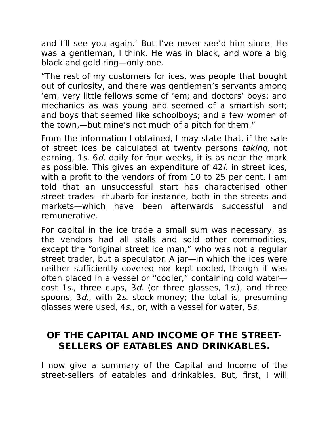and I'll see you again.' But I've never see'd him since. He was a gentleman, I think. He was in black, and wore a big black and gold ring—only one.

"The rest of my customers for ices, was people that bought out of curiosity, and there was gentlemen's servants among 'em, very little fellows some of 'em; and doctors' boys; and mechanics as was young and seemed of a smartish sort; and boys that seemed like schoolboys; and a few women of the town,—but mine's not much of a pitch for them."

From the information I obtained, I may state that, if the sale of street ices be calculated at twenty persons taking, not earning, 1s. 6d. daily for four weeks, it is as near the mark as possible. This gives an expenditure of 42l. in street ices, with a profit to the vendors of from 10 to 25 per cent. I am told that an unsuccessful start has characterised other street trades—rhubarb for instance, both in the streets and markets—which have been afterwards successful and remunerative.

For capital in the ice trade a small sum was necessary, as the vendors had all stalls and sold other commodities, except the "original street ice man," who was not a regular street trader, but a speculator. A jar—in which the ices were neither sufficiently covered nor kept cooled, though it was often placed in a vessel or "cooler," containing cold water cost 1s., three cups, 3d. (or three glasses, 1s.), and three spoons, 3*d.*, with 2*s.* stock-money; the total is, presuming glasses were used, 4s., or, with a vessel for water, 5s.

# **OF THE CAPITAL AND INCOME OF THE STREET-SELLERS OF EATABLES AND DRINKABLES.**

I now give a summary of the Capital and Income of the street-sellers of eatables and drinkables. But, first, I will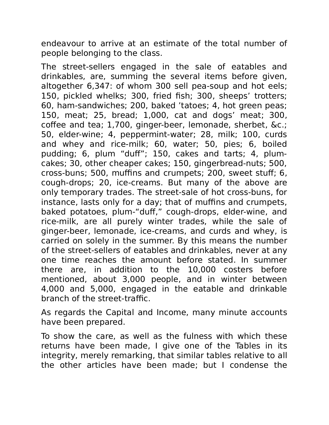endeavour to arrive at an estimate of the total number of people belonging to the class.

The street-sellers engaged in the sale of eatables and drinkables, are, summing the several items before given, altogether 6,347: of whom 300 sell pea-soup and hot eels; 150, pickled whelks; 300, fried fish; 300, sheeps' trotters; 60, ham-sandwiches; 200, baked 'tatoes; 4, hot green peas; 150, meat; 25, bread; 1,000, cat and dogs' meat; 300, coffee and tea; 1,700, ginger-beer, lemonade, sherbet, &c.; 50, elder-wine; 4, peppermint-water; 28, milk; 100, curds and whey and rice-milk; 60, water; 50, pies; 6, boiled pudding; 6, plum "duff"; 150, cakes and tarts; 4, plumcakes; 30, other cheaper cakes; 150, gingerbread-nuts; 500, cross-buns; 500, muffins and crumpets; 200, sweet stuff; 6, cough-drops; 20, ice-creams. But many of the above are only temporary trades. The street-sale of hot cross-buns, for instance, lasts only for a day; that of muffins and crumpets, baked potatoes, plum-"duff," cough-drops, elder-wine, and rice-milk, are all purely winter trades, while the sale of ginger-beer, lemonade, ice-creams, and curds and whey, is carried on solely in the summer. By this means the number of the street-sellers of eatables and drinkables, never at any one time reaches the amount before stated. In summer there are, in addition to the 10,000 costers before mentioned, about 3,000 people, and in winter between 4,000 and 5,000, engaged in the eatable and drinkable branch of the street-traffic.

As regards the Capital and Income, many minute accounts have been prepared.

To show the care, as well as the fulness with which these returns have been made, I give one of the Tables in its integrity, merely remarking, that similar tables relative to all the other articles have been made; but I condense the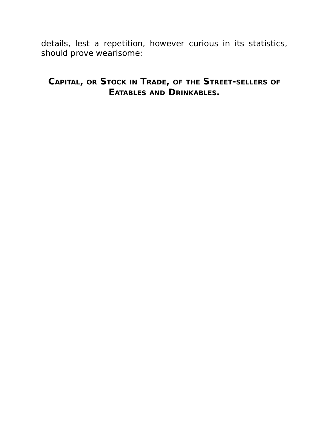details, lest a repetition, however curious in its statistics, should prove wearisome:

### **CAPITAL, OR STOCK IN TRADE, OF THE STREET-SELLERS OF EATABLES AND DRINKABLES.**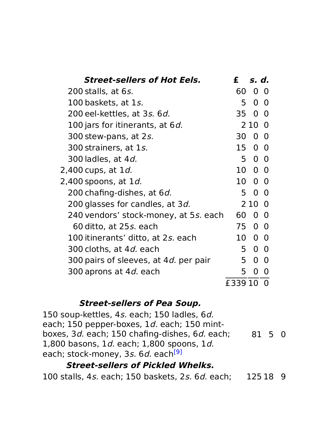| <b>Street-sellers of Hot Eels.</b>            | £       | s. d.          |                |
|-----------------------------------------------|---------|----------------|----------------|
| 200 stalls, at 6s.                            | 60      | 0              | O              |
| 100 baskets, at 1s.                           | 5       | $\overline{0}$ | $\Omega$       |
| 200 eel-kettles, at 3s. 6d.                   | 35      |                | 0 <sub>0</sub> |
| 100 jars for itinerants, at 6 <i>d.</i>       |         | 2 10 0         |                |
| 300 stew-pans, at 2s.                         | 30      |                | $0\quad 0$     |
| 300 strainers, at 1s.                         |         | 15 0 0         |                |
| 300 ladles, at 4 <i>d.</i>                    | 5       |                | $0\quad 0$     |
| 2,400 cups, at 1 <i>d.</i>                    |         | 10 0 0         |                |
| 2,400 spoons, at 1 <i>d.</i>                  |         | 10 0 0         |                |
| 200 chafing-dishes, at 6 <i>d.</i>            | 5       |                | $0\quad 0$     |
| 200 glasses for candles, at 3 <i>d.</i>       |         | 210 0          |                |
| 240 vendors' stock-money, at 5s. each         | 60      |                | 0 0            |
| 60 ditto, at 25 <i>s.</i> each                | 75      |                | 0 <sub>0</sub> |
| 100 itinerants' ditto, at 2s. each            | 10      |                | 0 <sub>0</sub> |
| 300 cloths, at 4 <i>d.</i> each               | 5       |                | $0\quad 0$     |
| 300 pairs of sleeves, at 4 <i>d.</i> per pair | 5.      | 0              | $\Omega$       |
| 300 aprons at 4 <i>d.</i> each                | 5.      | 0              | O              |
|                                               | £339 10 |                | 0              |

#### **Street-sellers of Pea Soup.**

150 soup-kettles, 4s. each; 150 ladles, 6d. each; 150 pepper-boxes, 1d. each; 150 mintboxes, 3d. each; 150 chafing-dishes, 6d. each; 1,800 basons, 1d. each; 1,800 spoons, 1d. each; stock-money, 3s. 6d. each<sup>[9]</sup> 81 5 0

#### **Street-sellers of Pickled Whelks.**

100 stalls, 4s. each; 150 baskets, 2s. 6d. each; 125 18 9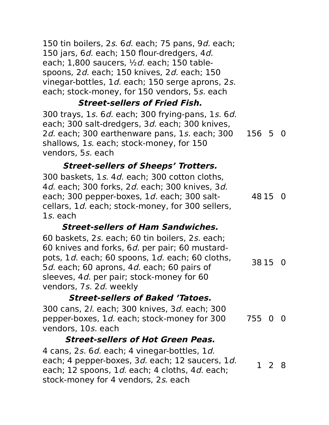150 tin boilers, 2s. 6d. each; 75 pans, 9d. each; 150 jars, 6d. each; 150 flour-dredgers, 4d. each;  $1,800$  saucers,  $\frac{1}{2}d$  each; 150 tablespoons, 2d. each; 150 knives, 2d. each; 150 vinegar-bottles, 1d. each; 150 serge aprons, 2s. each; stock-money, for 150 vendors, 5s. each

### **Street-sellers of Fried Fish.**

300 trays, 1s. 6d. each; 300 frying-pans, 1s. 6d. each; 300 salt-dredgers, 3d. each; 300 knives, 2d. each; 300 earthenware pans, 1s. each; 300 shallows, 1s. each; stock-money, for 150 vendors, 5s. each 156 5 0

# **Street-sellers of Sheeps' Trotters.**

300 baskets, 1s. 4d. each; 300 cotton cloths, 4d. each; 300 forks, 2d. each; 300 knives, 3d. each; 300 pepper-boxes, 1d. each; 300 saltcellars, 1d. each; stock-money, for 300 sellers, 1s. each 48 15 0

# **Street-sellers of Ham Sandwiches.**

60 baskets, 2s. each; 60 tin boilers, 2s. each; 60 knives and forks, 6d. per pair; 60 mustardpots, 1d. each; 60 spoons, 1d. each; 60 cloths, 5*d.* each; 60 aprons, 4*d.* each; 60 pairs of sleeves, 4d. per pair; stock-money for 60 vendors, 7s. 2d. weekly 38 15 0

# **Street-sellers of Baked 'Tatoes.**

300 cans, 2l. each; 300 knives, 3d. each; 300 pepper-boxes, 1d. each; stock-money for 300 vendors, 10s. each 755 0 0

# **Street-sellers of Hot Green Peas.**

4 cans, 2s. 6d. each; 4 vinegar-bottles, 1d. each; 4 pepper-boxes, 3d. each; 12 saucers, 1d. each; 12 spoons, 1d. each; 4 cloths, 4d. each; stock-money for 4 vendors, 2s. each 1 2 8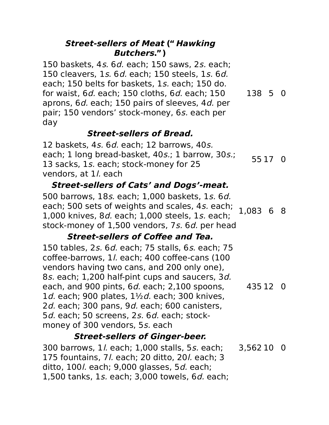#### **Street-sellers of Meat ("Hawking Butchers.")**

150 baskets, 4s. 6d. each; 150 saws, 2s. each; 150 cleavers, 1s. 6d. each; 150 steels, 1s. 6d. each; 150 belts for baskets, 1s. each; 150 do. for waist, 6d. each; 150 cloths, 6d. each; 150 aprons, 6d. each; 150 pairs of sleeves, 4d. per pair; 150 vendors' stock-money, 6s. each per day 138 5 0

### **Street-sellers of Bread.**

12 baskets, 4s. 6d. each; 12 barrows, 40s. each; 1 long bread-basket, 40s.; 1 barrow, 30s.; 13 sacks, 1s. each; stock-money for 25 vendors, at 1/. each 55 17 0

### **Street-sellers of Cats' and Dogs'-meat.**

500 barrows, 18s. each; 1,000 baskets, 1s. 6d. each; 500 sets of weights and scales, 4s. each; 1,000 knives, 8d. each; 1,000 steels, 1s. each; stock-money of 1,500 vendors, 7s. 6d. per head 1,083 6 8

### **Street-sellers of Coffee and Tea.**

150 tables, 2s. 6d. each; 75 stalls, 6s. each; 75 coffee-barrows, 1l. each; 400 coffee-cans (100 vendors having two cans, and 200 only one), 8s. each; 1,200 half-pint cups and saucers, 3d. each, and 900 pints, 6d. each; 2,100 spoons, 1d. each; 900 plates,  $1\frac{1}{2}d$ . each; 300 knives, 2d. each; 300 pans, 9d. each; 600 canisters, 5d. each; 50 screens, 2s. 6d. each; stockmoney of 300 vendors, 5s. each 435 12 0

### **Street-sellers of Ginger-beer.**

300 barrows, 1l. each; 1,000 stalls, 5s. each; 175 fountains, 7l. each; 20 ditto, 20l. each; 3 ditto,  $100$ . each;  $9,000$  glasses,  $5d$ . each; 1,500 tanks, 1s. each; 3,000 towels, 6d. each; 3,562 10 0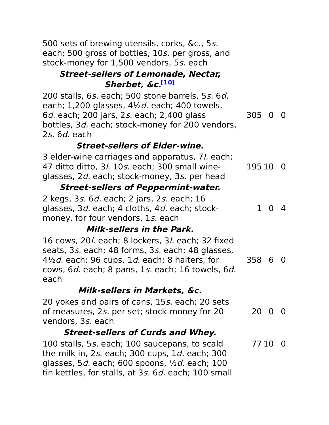500 sets of brewing utensils, corks, &c., 5s. each; 500 gross of bottles, 10s. per gross, and stock-money for 1,500 vendors, 5s. each

### **Street-sellers of Lemonade, Nectar, Sherbet, &c. [10]**

200 stalls, 6s. each; 500 stone barrels, 5s. 6d. each; 1,200 glasses,  $4\frac{1}{2}d$ . each; 400 towels, 6d. each; 200 jars, 2s. each; 2,400 glass bottles, 3d. each; stock-money for 200 vendors, 2s. 6d. each 305 0 0

# **Street-sellers of Elder-wine.**

3 elder-wine carriages and apparatus, 7l. each; 47 ditto ditto, 3l. 10s. each; 300 small wineglasses, 2d. each; stock-money, 3s. per head 195 10 0

### **Street-sellers of Peppermint-water.**

2 kegs, 3s. 6d. each; 2 jars, 2s. each; 16 glasses, 3d. each; 4 cloths, 4d. each; stockmoney, for four vendors, 1s. each 1 0 4

# **Milk-sellers in the Park.**

16 cows, 20l. each; 8 lockers, 3l. each; 32 fixed seats, 3s. each; 48 forms, 3s. each; 48 glasses,  $4\frac{1}{2}d$ . each; 96 cups, 1d. each; 8 halters, for cows, 6d. each; 8 pans, 1s. each; 16 towels, 6d. each 358 6 0

# **Milk-sellers in Markets, &c.**

20 yokes and pairs of cans, 15s. each; 20 sets of measures, 2s. per set; stock-money for 20 vendors, 3s. each 20 0 0

# **Street-sellers of Curds and Whey.**

100 stalls, 5s. each; 100 saucepans, to scald the milk in, 2s. each; 300 cups, 1d. each; 300 glasses, 5*d.* each; 600 spoons,  $\frac{1}{2}d$ , each; 100 tin kettles, for stalls, at 3s. 6d. each; 100 small 77 10 0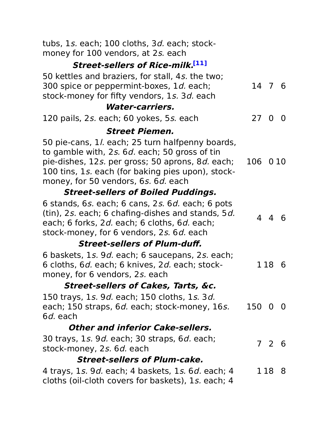| tubs, 1s. each; 100 cloths, 3d. each; stock-<br>money for 100 vendors, at 2s. each                                                                                                                                                                       |         |       |       |
|----------------------------------------------------------------------------------------------------------------------------------------------------------------------------------------------------------------------------------------------------------|---------|-------|-------|
| <b>Street-sellers of Rice-milk.[11]</b>                                                                                                                                                                                                                  |         |       |       |
| 50 kettles and braziers, for stall, 4s. the two;<br>300 spice or peppermint-boxes, 1 <i>d.</i> each;<br>stock-money for fifty vendors, 1s. 3d. each                                                                                                      | 14 7 6  |       |       |
| <b>Water-carriers.</b>                                                                                                                                                                                                                                   |         |       |       |
| 120 pails, 2s. each; 60 yokes, 5s. each                                                                                                                                                                                                                  | 27 0 0  |       |       |
| <i><b>Street Piemen.</b></i>                                                                                                                                                                                                                             |         |       |       |
| 50 pie-cans, 1/ each; 25 turn halfpenny boards,<br>to gamble with, 2s. 6d. each; 50 gross of tin<br>pie-dishes, 12s. per gross; 50 aprons, 8 <i>d.</i> each;<br>100 tins, 1s. each (for baking pies upon), stock-<br>money, for 50 vendors, 6s. 6d. each | 106     |       | 0 1 0 |
| <b>Street-sellers of Boiled Puddings.</b>                                                                                                                                                                                                                |         |       |       |
| 6 stands, 6s. each; 6 cans, 2s. 6d. each; 6 pots<br>(tin), 2s. each; 6 chafing-dishes and stands, 5d.<br>each; 6 forks, 2d. each; 6 cloths, 6d. each;<br>stock-money, for 6 vendors, 2s. 6d. each                                                        |         | 4 4 6 |       |
| <b>Street-sellers of Plum-duff.</b>                                                                                                                                                                                                                      |         |       |       |
| 6 baskets, 1s. 9d. each; 6 saucepans, 2s. each;<br>6 cloths, 6 <i>d.</i> each; 6 knives, 2 <i>d.</i> each; stock-<br>money, for 6 vendors, 2s. each                                                                                                      |         | 1 18  | 6     |
| <b>Street-sellers of Cakes, Tarts, &amp;c.</b>                                                                                                                                                                                                           |         |       |       |
| 150 trays, 1s. 9d. each; 150 cloths, 1s. 3d.<br>each; 150 straps, 6 <i>d.</i> each; stock-money, 16s.<br>6 <i>d.</i> each                                                                                                                                | 150 0 0 |       |       |
| <b>Other and inferior Cake-sellers.</b>                                                                                                                                                                                                                  |         |       |       |
| 30 trays, 1s. 9d. each; 30 straps, 6d. each;<br>stock-money, 2s. 6d. each                                                                                                                                                                                |         | 7 2 6 |       |
| <b>Street-sellers of Plum-cake.</b>                                                                                                                                                                                                                      |         |       |       |
| 4 trays, 1s. 9 <i>d.</i> each; 4 baskets, 1s. 6 <i>d.</i> each; 4<br>cloths (oil-cloth covers for baskets), 1s. each; 4                                                                                                                                  |         | 1188  |       |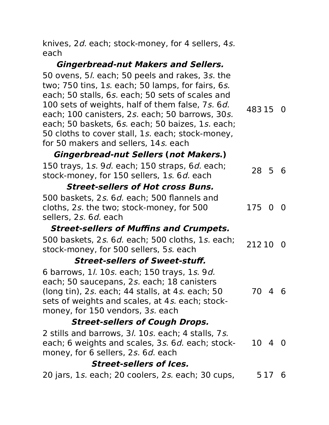knives, 2d. each; stock-money, for 4 sellers, 4s. each

### **Gingerbread-nut Makers and Sellers.**

50 ovens, 5l. each; 50 peels and rakes, 3s. the two; 750 tins, 1s. each; 50 lamps, for fairs, 6s. each; 50 stalls, 6s. each; 50 sets of scales and 100 sets of weights, half of them false, 7s. 6d. each; 100 canisters, 2s. each; 50 barrows, 30s. each; 50 baskets, 6s. each; 50 baizes, 1s. each; 50 cloths to cover stall, 1s. each; stock-money, for 50 makers and sellers, 14s. each 483 15 0

### **Gingerbread-nut Sellers (not Makers.)**

| 150 trays, 1s. 9d. each; 150 straps, 6d. each; | 28 5 6 |  |  |
|------------------------------------------------|--------|--|--|
| stock-money, for 150 sellers, 1s. 6d. each     |        |  |  |

### **Street-sellers of Hot cross Buns.**

500 baskets, 2s. 6d. each; 500 flannels and cloths, 2s. the two; stock-money, for 500 sellers, 2s. 6d. each 175 0 0

# **Street-sellers of Muffins and Crumpets.**

| 00 baskets, 2s. 6d. each; 500 cloths, 1s. each; 212 10 0 |  |
|----------------------------------------------------------|--|
| stock-money, for 500 sellers, 5s, each                   |  |

### **Street-sellers of Sweet-stuff.**

6 barrows, 1l. 10s. each; 150 trays, 1s. 9d. each; 50 saucepans, 2s. each; 18 canisters (long tin), 2s. each; 44 stalls, at 4s. each; 50 sets of weights and scales, at 4s. each; stockmoney, for 150 vendors, 3s. each 70 4 6

# **Street-sellers of Cough Drops.**

2 stills and barrows, 3l. 10s. each; 4 stalls, 7s. each; 6 weights and scales, 3s. 6d. each; stockmoney, for 6 sellers, 2s. 6d. each 10 4 0

### **Street-sellers of Ices.**

20 jars, 1s. each; 20 coolers, 2s. each; 30 cups, 5 17 6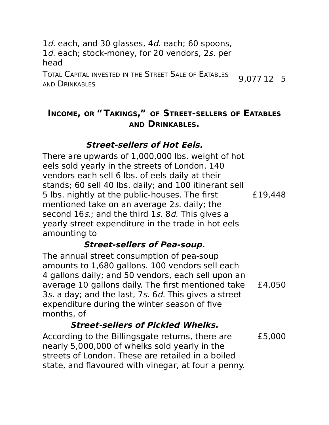1d. each, and 30 glasses, 4d. each; 60 spoons, 1d. each; stock-money, for 20 vendors, 2s. per head

TOTAL CAPITAL INVESTED IN THE STREET SALE OF EATABLES AND DRINKABLES 9,077 12 5

# **INCOME, OR "TAKINGS," OF STREET-SELLERS OF EATABLES AND DRINKABLES.**

### **Street-sellers of Hot Eels.**

There are upwards of 1,000,000 lbs. weight of hot eels sold yearly in the streets of London. 140 vendors each sell 6 lbs. of eels daily at their stands; 60 sell 40 lbs. daily; and 100 itinerant sell 5 lbs. nightly at the public-houses. The first mentioned take on an average 2s. daily; the second 16s.; and the third 1s. 8d. This gives a yearly street expenditure in the trade in hot eels amounting to £19,448

### **Street-sellers of Pea-soup.**

The annual street consumption of pea-soup amounts to 1,680 gallons. 100 vendors sell each 4 gallons daily; and 50 vendors, each sell upon an average 10 gallons daily. The first mentioned take 3s. a day; and the last, 7s. 6d. This gives a street expenditure during the winter season of five months, of £4,050

# **Street-sellers of Pickled Whelks.**

According to the Billingsgate returns, there are nearly 5,000,000 of whelks sold yearly in the streets of London. These are retailed in a boiled state, and flavoured with vinegar, at four a penny. £5,000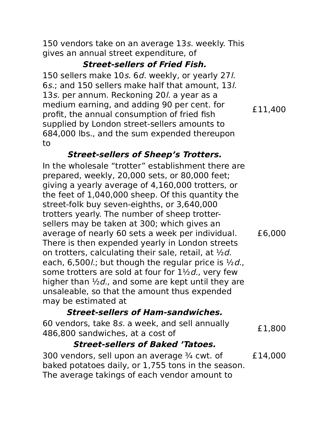150 vendors take on an average 13s. weekly. This gives an annual street expenditure, of

### **Street-sellers of Fried Fish.**

150 sellers make 10s. 6d. weekly, or yearly 27l. 6s.; and 150 sellers make half that amount, 13l. 13s. per annum. Reckoning 20*l.* a year as a medium earning, and adding 90 per cent. for profit, the annual consumption of fried fish supplied by London street-sellers amounts to 684,000 lbs., and the sum expended thereupon to

### **Street-sellers of Sheep's Trotters.**

In the wholesale "trotter" establishment there are prepared, weekly, 20,000 sets, or 80,000 feet; giving a yearly average of 4,160,000 trotters, or the feet of 1,040,000 sheep. Of this quantity the street-folk buy seven-eighths, or 3,640,000 trotters yearly. The number of sheep trottersellers may be taken at 300; which gives an average of nearly 60 sets a week per individual. There is then expended yearly in London streets on trotters, calculating their sale, retail, at  $\frac{1}{2}d$ . each, 6,500/.; but though the regular price is  $\frac{1}{2}d$ . some trotters are sold at four for  $1\frac{1}{2}d$ , very few higher than  $\frac{1}{2}d$ , and some are kept until they are unsaleable, so that the amount thus expended may be estimated at £6,000

# **Street-sellers of Ham-sandwiches.**

60 vendors, take 8s. a week, and sell annually  $\frac{1}{486,800}$  sandwiches, at a cost of  $\frac{1}{800}$ 

# **Street-sellers of Baked 'Tatoes.**

300 vendors, sell upon an average  $\frac{3}{4}$  cwt. of baked potatoes daily, or 1,755 tons in the season. The average takings of each vendor amount to £14,000

£11,400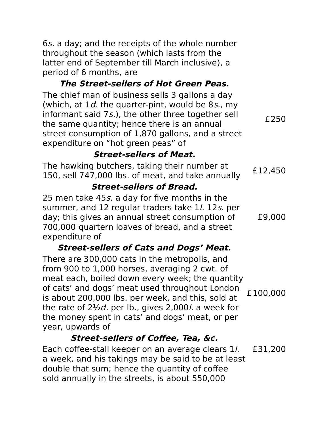6s. a day; and the receipts of the whole number throughout the season (which lasts from the latter end of September till March inclusive), a period of 6 months, are

### **The Street-sellers of Hot Green Peas.**

The chief man of business sells 3 gallons a day (which, at  $1d$ , the quarter-pint, would be 8s., my informant said 7s.), the other three together sell the same quantity; hence there is an annual street consumption of 1,870 gallons, and a street expenditure on "hot green peas" of

### **Street-sellers of Meat.**

The hawking butchers, taking their number at 1110 Hawking Butchers, taking their Humber at Fig. 450<br>150, sell 747,000 lbs. of meat, and take annually

£250

### **Street-sellers of Bread.**

25 men take 45s. a day for five months in the summer, and 12 regular traders take 1/. 12s. per day; this gives an annual street consumption of 700,000 quartern loaves of bread, and a street expenditure of £9,000

### **Street-sellers of Cats and Dogs' Meat.**

There are 300,000 cats in the metropolis, and from 900 to 1,000 horses, averaging 2 cwt. of meat each, boiled down every week; the quantity of cats' and dogs' meat used throughout London is about 200,000 lbs. per week, and this, sold at the rate of  $2\frac{1}{2}d$  per lb., gives 2,000l. a week for the money spent in cats' and dogs' meat, or per year, upwards of £100,000

# **Street-sellers of Coffee, Tea, &c.**

Each coffee-stall keeper on an average clears 1l. a week, and his takings may be said to be at least double that sum; hence the quantity of coffee sold annually in the streets, is about 550,000 £31,200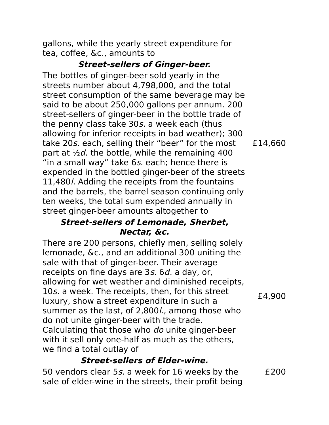gallons, while the yearly street expenditure for tea, coffee, &c., amounts to

#### **Street-sellers of Ginger-beer.**

The bottles of ginger-beer sold yearly in the streets number about 4,798,000, and the total street consumption of the same beverage may be said to be about 250,000 gallons per annum. 200 street-sellers of ginger-beer in the bottle trade of the penny class take 30s. a week each (thus allowing for inferior receipts in bad weather); 300 take 20s. each, selling their "beer" for the most part at  $\frac{1}{2}d$ , the bottle, while the remaining 400 "in a small way" take 6s. each; hence there is expended in the bottled ginger-beer of the streets 11,480l. Adding the receipts from the fountains and the barrels, the barrel season continuing only ten weeks, the total sum expended annually in street ginger-beer amounts altogether to

#### **Street-sellers of Lemonade, Sherbet, Nectar, &c.**

There are 200 persons, chiefly men, selling solely lemonade, &c., and an additional 300 uniting the sale with that of ginger-beer. Their average receipts on fine days are 3s. 6d. a day, or, allowing for wet weather and diminished receipts, 10s. a week. The receipts, then, for this street luxury, show a street expenditure in such a summer as the last, of 2,800/., among those who do not unite ginger-beer with the trade. Calculating that those who do unite ginger-beer with it sell only one-half as much as the others, we find a total outlay of

#### **Street-sellers of Elder-wine.**

50 vendors clear 5s. a week for 16 weeks by the sale of elder-wine in the streets, their profit being £200

£4,900

£14,660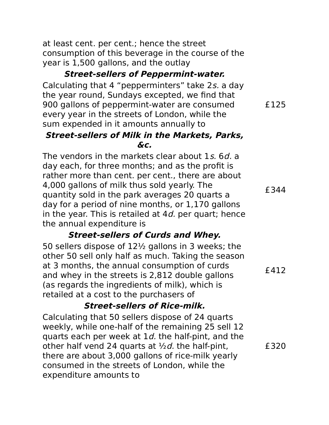at least cent. per cent.; hence the street consumption of this beverage in the course of the year is 1,500 gallons, and the outlay

### **Street-sellers of Peppermint-water.**

Calculating that 4 "pepperminters" take 2s. a day the year round, Sundays excepted, we find that 900 gallons of peppermint-water are consumed every year in the streets of London, while the sum expended in it amounts annually to

#### **Street-sellers of Milk in the Markets, Parks, &c.**

The vendors in the markets clear about 1s, 6d, a day each, for three months; and as the profit is rather more than cent. per cent., there are about 4,000 gallons of milk thus sold yearly. The quantity sold in the park averages 20 quarts a day for a period of nine months, or 1,170 gallons in the year. This is retailed at  $4d$ , per quart; hence the annual expenditure is

### **Street-sellers of Curds and Whey.**

50 sellers dispose of 12½ gallons in 3 weeks; the other 50 sell only half as much. Taking the season at 3 months, the annual consumption of curds and whey in the streets is 2,812 double gallons (as regards the ingredients of milk), which is retailed at a cost to the purchasers of £412

### **Street-sellers of Rice-milk.**

Calculating that 50 sellers dispose of 24 quarts weekly, while one-half of the remaining 25 sell 12 quarts each per week at  $1d$ , the half-pint, and the other half vend 24 quarts at  $\frac{1}{2}d$ . the half-pint, there are about 3,000 gallons of rice-milk yearly consumed in the streets of London, while the expenditure amounts to £320

£344

£125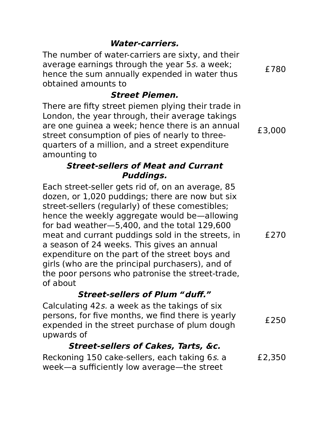#### **Water-carriers.**

The number of water-carriers are sixty, and their average earnings through the year 5s. a week; hence the sum annually expended in water thus obtained amounts to

### **Street Piemen.**

There are fifty street piemen plying their trade in London, the year through, their average takings are one guinea a week; hence there is an annual street consumption of pies of nearly to threequarters of a million, and a street expenditure amounting to

### **Street-sellers of Meat and Currant Puddings.**

Each street-seller gets rid of, on an average, 85 dozen, or 1,020 puddings; there are now but six street-sellers (regularly) of these comestibles; hence the weekly aggregate would be—allowing for bad weather—5,400, and the total 129,600 meat and currant puddings sold in the streets, in a season of 24 weeks. This gives an annual expenditure on the part of the street boys and girls (who are the principal purchasers), and of the poor persons who patronise the street-trade, of about

### **Street-sellers of Plum "duff."**

Calculating 42s. a week as the takings of six persons, for five months, we find there is yearly expended in the street purchase of plum dough upwards of £250

### **Street-sellers of Cakes, Tarts, &c.**

Reckoning 150 cake-sellers, each taking 6s. a week—a sufficiently low average—the street £2,350

£270

£780

£3,000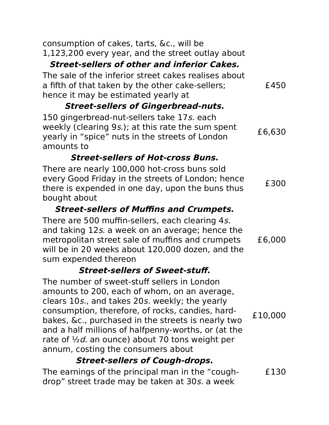| consumption of cakes, tarts, &c., will be<br>1,123,200 every year, and the street outlay about<br><b>Street-sellers of other and inferior Cakes.</b>                                                                                                                                                                                                                                                              |         |
|-------------------------------------------------------------------------------------------------------------------------------------------------------------------------------------------------------------------------------------------------------------------------------------------------------------------------------------------------------------------------------------------------------------------|---------|
| The sale of the inferior street cakes realises about<br>a fifth of that taken by the other cake-sellers;<br>hence it may be estimated yearly at                                                                                                                                                                                                                                                                   | £450    |
| <b>Street-sellers of Gingerbread-nuts.</b>                                                                                                                                                                                                                                                                                                                                                                        |         |
| 150 gingerbread-nut-sellers take 17s. each<br>weekly (clearing 9s.); at this rate the sum spent<br>yearly in "spice" nuts in the streets of London<br>amounts to                                                                                                                                                                                                                                                  | £6,630  |
| <b>Street-sellers of Hot-cross Buns.</b>                                                                                                                                                                                                                                                                                                                                                                          |         |
| There are nearly 100,000 hot-cross buns sold<br>every Good Friday in the streets of London; hence<br>there is expended in one day, upon the buns thus<br>bought about                                                                                                                                                                                                                                             | £300    |
| <b>Street-sellers of Muffins and Crumpets.</b>                                                                                                                                                                                                                                                                                                                                                                    |         |
| There are 500 muffin-sellers, each clearing 4s.<br>and taking 12s. a week on an average; hence the<br>metropolitan street sale of muffins and crumpets<br>will be in 20 weeks about 120,000 dozen, and the<br>sum expended thereon                                                                                                                                                                                | £6,000  |
| <b>Street-sellers of Sweet-stuff.</b>                                                                                                                                                                                                                                                                                                                                                                             |         |
| The number of sweet-stuff sellers in London<br>amounts to 200, each of whom, on an average,<br>clears 10s., and takes 20s. weekly; the yearly<br>consumption, therefore, of rocks, candies, hard-<br>bakes, &c., purchased in the streets is nearly two<br>and a half millions of halfpenny-worths, or (at the<br>rate of $\frac{1}{2}d$ an ounce) about 70 tons weight per<br>annum, costing the consumers about | £10,000 |
| <b>Street-sellers of Cough-drops.</b>                                                                                                                                                                                                                                                                                                                                                                             |         |

The earnings of the principal man in the "coughdrop" street trade may be taken at 30s. a week £130